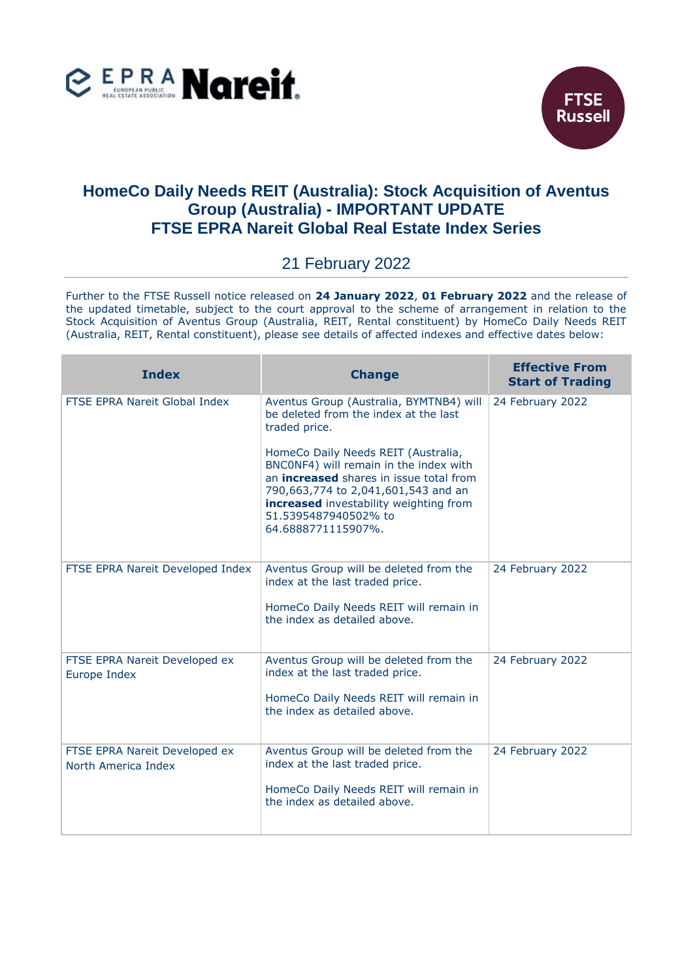



## **HomeCo Daily Needs REIT (Australia): Stock Acquisition of Aventus Group (Australia) - IMPORTANT UPDATE FTSE EPRA Nareit Global Real Estate Index Series**

## 21 February 2022

Further to the FTSE Russell notice released on **24 January 2022**, **01 February 2022** and the release of the updated timetable, subject to the court approval to the scheme of arrangement in relation to the Stock Acquisition of Aventus Group (Australia, REIT, Rental constituent) by HomeCo Daily Needs REIT (Australia, REIT, Rental constituent), please see details of affected indexes and effective dates below:

| <b>Index</b>                                         | <b>Change</b>                                                                                                                                                                                                                                                                                                                                                       | <b>Effective From</b><br><b>Start of Trading</b> |
|------------------------------------------------------|---------------------------------------------------------------------------------------------------------------------------------------------------------------------------------------------------------------------------------------------------------------------------------------------------------------------------------------------------------------------|--------------------------------------------------|
| FTSE EPRA Nareit Global Index                        | Aventus Group (Australia, BYMTNB4) will<br>be deleted from the index at the last<br>traded price.<br>HomeCo Daily Needs REIT (Australia,<br>BNC0NF4) will remain in the index with<br>an <b>increased</b> shares in issue total from<br>790,663,774 to 2,041,601,543 and an<br>increased investability weighting from<br>51.5395487940502% to<br>64.6888771115907%. | 24 February 2022                                 |
| FTSE EPRA Nareit Developed Index                     | Aventus Group will be deleted from the<br>index at the last traded price.<br>HomeCo Daily Needs REIT will remain in<br>the index as detailed above.                                                                                                                                                                                                                 | 24 February 2022                                 |
| FTSE EPRA Nareit Developed ex<br>Europe Index        | Aventus Group will be deleted from the<br>index at the last traded price.<br>HomeCo Daily Needs REIT will remain in<br>the index as detailed above.                                                                                                                                                                                                                 | 24 February 2022                                 |
| FTSE EPRA Nareit Developed ex<br>North America Index | Aventus Group will be deleted from the<br>index at the last traded price.<br>HomeCo Daily Needs REIT will remain in<br>the index as detailed above.                                                                                                                                                                                                                 | 24 February 2022                                 |